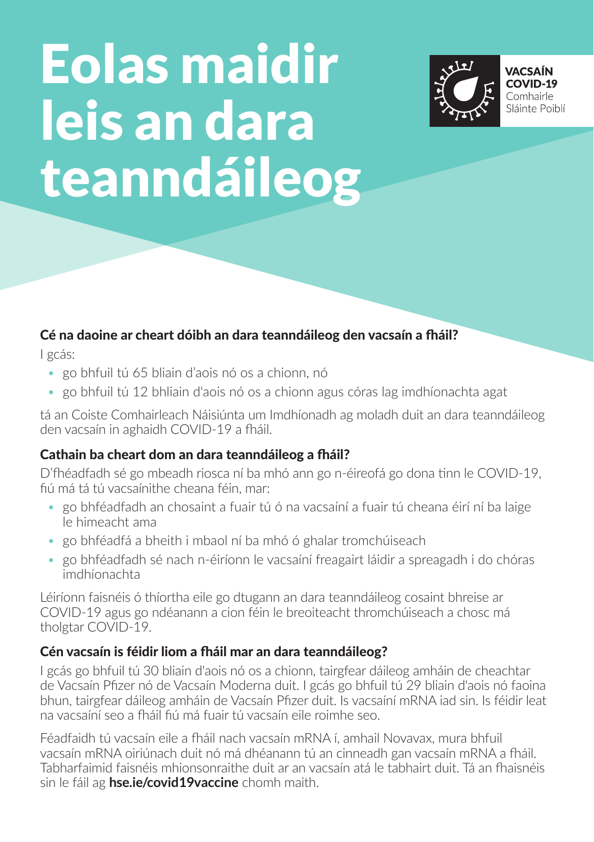# Eolas maidir leis an dara teanndáileog



# Cé na daoine ar cheart dóibh an dara teanndáileog den vacsaín a fháil?

I gcás:

- go bhfuil tú 65 bliain d'aois nó os a chionn, nó
- go bhfuil tú 12 bhliain d'aois nó os a chionn agus córas lag imdhíonachta agat

tá an Coiste Comhairleach Náisiúnta um Imdhíonadh ag moladh duit an dara teanndáileog den vacsaín in aghaidh COVID-19 a fháil.

#### Cathain ba cheart dom an dara teanndáileog a fháil?

D'fhéadfadh sé go mbeadh riosca ní ba mhó ann go n-éireofá go dona tinn le COVID-19, fiú má tá tú vacsaínithe cheana féin, mar:

- go bhféadfadh an chosaint a fuair tú ó na vacsaíní a fuair tú cheana éirí ní ba laige le himeacht ama
- go bhféadfá a bheith i mbaol ní ba mhó ó ghalar tromchúiseach
- go bhféadfadh sé nach n-éiríonn le vacsaíní freagairt láidir a spreagadh i do chóras imdhíonachta

Léiríonn faisnéis ó thíortha eile go dtugann an dara teanndáileog cosaint bhreise ar COVID-19 agus go ndéanann a cion féin le breoiteacht thromchúiseach a chosc má tholgtar COVID-19.

#### Cén vacsaín is féidir liom a fháil mar an dara teanndáileog?

I gcás go bhfuil tú 30 bliain d'aois nó os a chionn, tairgfear dáileog amháin de cheachtar de Vacsaín Pfizer nó de Vacsaín Moderna duit. I gcás go bhfuil tú 29 bliain d'aois nó faoina bhun, tairgfear dáileog amháin de Vacsaín Pfizer duit. Is vacsaíní mRNA iad sin. Is féidir leat na vacsaíní seo a fháil fiú má fuair tú vacsaín eile roimhe seo.

Féadfaidh tú vacsaín eile a fháil nach vacsaín mRNA í, amhail Novavax, mura bhfuil vacsaín mRNA oiriúnach duit nó má dhéanann tú an cinneadh gan vacsaín mRNA a fháil. Tabharfaimid faisnéis mhionsonraithe duit ar an vacsaín atá le tabhairt duit. Tá an fhaisnéis sin le fáil ag **hse.ie/covid19vaccine** chomh maith.